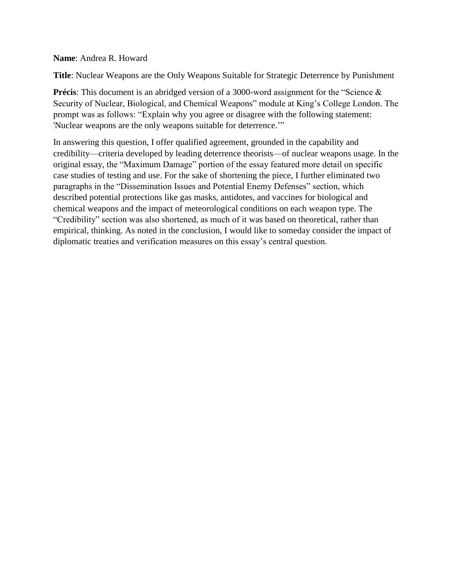#### **Name**: Andrea R. Howard

**Title**: Nuclear Weapons are the Only Weapons Suitable for Strategic Deterrence by Punishment

**Précis**: This document is an abridged version of a 3000-word assignment for the "Science & Security of Nuclear, Biological, and Chemical Weapons" module at King's College London. The prompt was as follows: "Explain why you agree or disagree with the following statement: 'Nuclear weapons are the only weapons suitable for deterrence.'"

In answering this question, I offer qualified agreement, grounded in the capability and credibility—criteria developed by leading deterrence theorists—of nuclear weapons usage. In the original essay, the "Maximum Damage" portion of the essay featured more detail on specific case studies of testing and use. For the sake of shortening the piece, I further eliminated two paragraphs in the "Dissemination Issues and Potential Enemy Defenses" section, which described potential protections like gas masks, antidotes, and vaccines for biological and chemical weapons and the impact of meteorological conditions on each weapon type. The "Credibility" section was also shortened, as much of it was based on theoretical, rather than empirical, thinking. As noted in the conclusion, I would like to someday consider the impact of diplomatic treaties and verification measures on this essay's central question.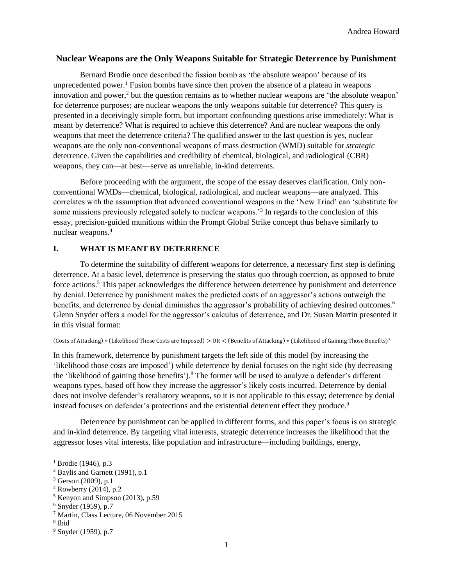### **Nuclear Weapons are the Only Weapons Suitable for Strategic Deterrence by Punishment**

Bernard Brodie once described the fission bomb as 'the absolute weapon' because of its unprecedented power.<sup>1</sup> Fusion bombs have since then proven the absence of a plateau in weapons innovation and power, $\frac{3}{2}$  but the question remains as to whether nuclear weapons are 'the absolute weapon' for deterrence purposes; are nuclear weapons the only weapons suitable for deterrence? This query is presented in a deceivingly simple form, but important confounding questions arise immediately: What is meant by deterrence? What is required to achieve this deterrence? And are nuclear weapons the only weapons that meet the deterrence criteria? The qualified answer to the last question is yes, nuclear weapons are the only non-conventional weapons of mass destruction (WMD) suitable for *strategic* deterrence. Given the capabilities and credibility of chemical, biological, and radiological (CBR) weapons, they can—at best—serve as unreliable, in-kind deterrents.

Before proceeding with the argument, the scope of the essay deserves clarification. Only nonconventional WMDs—chemical, biological, radiological, and nuclear weapons—are analyzed. This correlates with the assumption that advanced conventional weapons in the 'New Triad' can 'substitute for some missions previously relegated solely to nuclear weapons.<sup>3</sup> In regards to the conclusion of this essay, precision-guided munitions within the Prompt Global Strike concept thus behave similarly to nuclear weapons. 4

### **I. WHAT IS MEANT BY DETERRENCE**

To determine the suitability of different weapons for deterrence, a necessary first step is defining deterrence. At a basic level, deterrence is preserving the status quo through coercion, as opposed to brute force actions.<sup>5</sup> This paper acknowledges the difference between deterrence by punishment and deterrence by denial. Deterrence by punishment makes the predicted costs of an aggressor's actions outweigh the benefits, and deterrence by denial diminishes the aggressor's probability of achieving desired outcomes.<sup>6</sup> Glenn Snyder offers a model for the aggressor's calculus of deterrence, and Dr. Susan Martin presented it in this visual format:

#### (Costs of Attacking) ∗ (Likelihood Those Costs are Imposed) > OR < (Benefits of Attacking) ∗ (Likelihood of Gaining Those Benefits) 7

In this framework, deterrence by punishment targets the left side of this model (by increasing the 'likelihood those costs are imposed') while deterrence by denial focuses on the right side (by decreasing the 'likelihood of gaining those benefits').<sup>8</sup> The former will be used to analyze a defender's different weapons types, based off how they increase the aggressor's likely costs incurred. Deterrence by denial does not involve defender's retaliatory weapons, so it is not applicable to this essay; deterrence by denial instead focuses on defender's protections and the existential deterrent effect they produce.<sup>9</sup>

Deterrence by punishment can be applied in different forms, and this paper's focus is on strategic and in-kind deterrence. By targeting vital interests, strategic deterrence increases the likelihood that the aggressor loses vital interests, like population and infrastructure—including buildings, energy,

l

<sup>&</sup>lt;sup>1</sup> Brodie (1946), p.3

<sup>2</sup> Baylis and Garnett (1991), p.1

 $3$  Gerson (2009), p.1

 $4$  Rowberry (2014), p.2

 $<sup>5</sup>$  Kenyon and Simpson (2013), p.59</sup>

 $6$  Snyder (1959), p.7

<sup>7</sup> Martin, Class Lecture, 06 November 2015

<sup>8</sup> Ibid

<sup>9</sup> Snyder (1959), p.7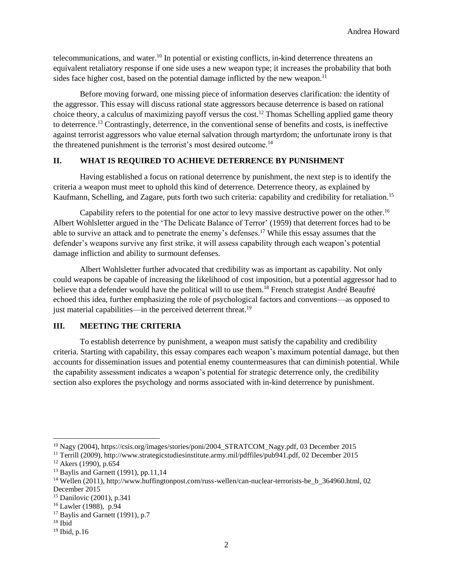telecommunications, and water.<sup>10</sup> In potential or existing conflicts, in-kind deterrence threatens an equivalent retaliatory response if one side uses a new weapon type; it increases the probability that both sides face higher cost, based on the potential damage inflicted by the new weapon.<sup>11</sup>

Before moving forward, one missing piece of information deserves clarification: the identity of the aggressor. This essay will discuss rational state aggressors because deterrence is based on rational choice theory, a calculus of maximizing payoff versus the cost.<sup>12</sup> Thomas Schelling applied game theory to deterrence. <sup>13</sup> Contrastingly, deterrence, in the conventional sense of benefits and costs, is ineffective against terrorist aggressors who value eternal salvation through martyrdom; the unfortunate irony is that the threatened punishment is the terrorist's most desired outcome.<sup>14</sup>

### **II. WHAT IS REQUIRED TO ACHIEVE DETERRENCE BY PUNISHMENT**

Having established a focus on rational deterrence by punishment, the next step is to identify the criteria a weapon must meet to uphold this kind of deterrence. Deterrence theory, as explained by Kaufmann, Schelling, and Zagare, puts forth two such criteria: capability and credibility for retaliation.<sup>15</sup>

Capability refers to the potential for one actor to levy massive destructive power on the other.<sup>16</sup> Albert Wohlsletter argued in the 'The Delicate Balance of Terror' (1959) that deterrent forces had to be able to survive an attack and to penetrate the enemy's defenses.<sup>17</sup> While this essay assumes that the defender's weapons survive any first strike, it will assess capability through each weapon's potential damage infliction and ability to surmount defenses.

Albert Wohlsletter further advocated that credibility was as important as capability. Not only could weapons be capable of increasing the likelihood of cost imposition, but a potential aggressor had to believe that a defender would have the political will to use them.<sup>18</sup> French strategist André Beaufré echoed this idea, further emphasizing the role of psychological factors and conventions—as opposed to just material capabilities—in the perceived deterrent threat.<sup>19</sup>

# **III. MEETING THE CRITERIA**

To establish deterrence by punishment, a weapon must satisfy the capability and credibility criteria. Starting with capability, this essay compares each weapon's maximum potential damage, but then accounts for dissemination issues and potential enemy countermeasures that can diminish potential. While the capability assessment indicates a weapon's potential for strategic deterrence only, the credibility section also explores the psychology and norms associated with in-kind deterrence by punishment.

 $\overline{a}$ 

<sup>&</sup>lt;sup>10</sup> Nagy (2004), https://csis.org/images/stories/poni/2004\_STRATCOM\_Nagy.pdf, 03 December 2015

<sup>11</sup> Terrill (2009), http://www.strategicstudiesinstitute.army.mil/pdffiles/pub941.pdf, 02 December 2015

<sup>12</sup> Akers (1990), p.654

 $13$  Baylis and Garnett (1991), pp.11,14

<sup>14</sup> Wellen (2011), http://www.huffingtonpost.com/russ-wellen/can-nuclear-terrorists-be\_b\_364960.html, 02 December 2015

<sup>15</sup> Danilovic (2001), p.341

<sup>16</sup> Lawler (1988), p.94

 $17$  Baylis and Garnett (1991), p.7

 $18$  Ibid

 $19$  Ibid, p.16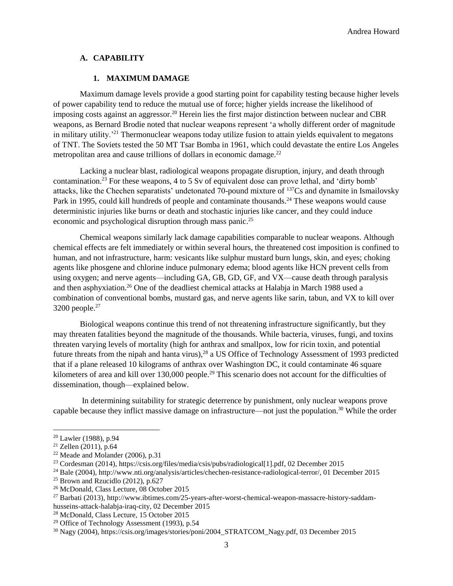#### **A. CAPABILITY**

#### **1. MAXIMUM DAMAGE**

Maximum damage levels provide a good starting point for capability testing because higher levels of power capability tend to reduce the mutual use of force; higher yields increase the likelihood of imposing costs against an aggressor.<sup>20</sup> Herein lies the first major distinction between nuclear and CBR weapons, as Bernard Brodie noted that nuclear weapons represent 'a wholly different order of magnitude in military utility.'<sup>21</sup> Thermonuclear weapons today utilize fusion to attain yields equivalent to megatons of TNT. The Soviets tested the 50 MT Tsar Bomba in 1961, which could devastate the entire Los Angeles metropolitan area and cause trillions of dollars in economic damage.<sup>22</sup>

Lacking a nuclear blast, radiological weapons propagate disruption, injury, and death through contamination.<sup>23</sup> For these weapons, 4 to 5 Sv of equivalent dose can prove lethal, and 'dirty bomb' attacks, like the Chechen separatists' undetonated 70-pound mixture of <sup>137</sup>Cs and dynamite in Ismailovsky Park in 1995, could kill hundreds of people and contaminate thousands.<sup>24</sup> These weapons would cause deterministic injuries like burns or death and stochastic injuries like cancer, and they could induce economic and psychological disruption through mass panic.<sup>25</sup>

Chemical weapons similarly lack damage capabilities comparable to nuclear weapons. Although chemical effects are felt immediately or within several hours, the threatened cost imposition is confined to human, and not infrastructure, harm: vesicants like sulphur mustard burn lungs, skin, and eyes; choking agents like phosgene and chlorine induce pulmonary edema; blood agents like HCN prevent cells from using oxygen; and nerve agents—including GA, GB, GD, GF, and VX—cause death through paralysis and then asphyxiation.<sup>26</sup> One of the deadliest chemical attacks at Halabja in March 1988 used a combination of conventional bombs, mustard gas, and nerve agents like sarin, tabun, and VX to kill over  $3200$  people.<sup>27</sup>

Biological weapons continue this trend of not threatening infrastructure significantly, but they may threaten fatalities beyond the magnitude of the thousands. While bacteria, viruses, fungi, and toxins threaten varying levels of mortality (high for anthrax and smallpox, low for ricin toxin, and potential future threats from the nipah and hanta virus),<sup>28</sup> a US Office of Technology Assessment of 1993 predicted that if a plane released 10 kilograms of anthrax over Washington DC, it could contaminate 46 square kilometers of area and kill over 130,000 people.<sup>29</sup> This scenario does not account for the difficulties of dissemination, though—explained below.

In determining suitability for strategic deterrence by punishment, only nuclear weapons prove capable because they inflict massive damage on infrastructure—not just the population.<sup>30</sup> While the order

l

<sup>20</sup> Lawler (1988), p.94

 $21$  Zellen (2011), p.64

 $22$  Meade and Molander (2006), p.31

<sup>23</sup> Cordesman (2014), https://csis.org/files/media/csis/pubs/radiological[1].pdf, 02 December 2015

<sup>24</sup> Bale (2004), http://www.nti.org/analysis/articles/chechen-resistance-radiological-terror/, 01 December 2015

 $25$  Brown and Rzucidlo (2012), p.627

<sup>26</sup> McDonald, Class Lecture, 08 October 2015

<sup>27</sup> Barbati (2013), http://www.ibtimes.com/25-years-after-worst-chemical-weapon-massacre-history-saddamhusseins-attack-halabja-iraq-city, 02 December 2015

<sup>28</sup> McDonald, Class Lecture, 15 October 2015

<sup>29</sup> Office of Technology Assessment (1993), p.54

<sup>30</sup> Nagy (2004), https://csis.org/images/stories/poni/2004\_STRATCOM\_Nagy.pdf, 03 December 2015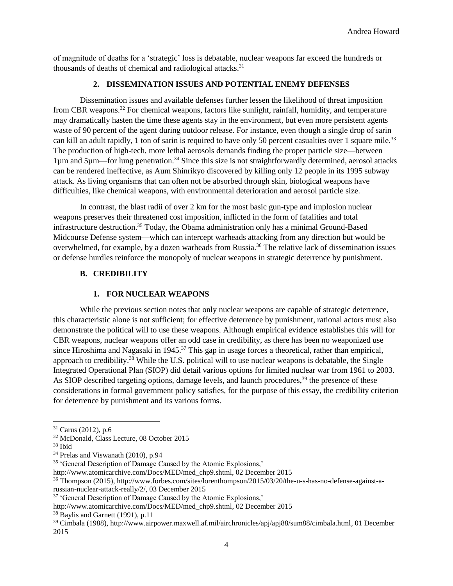of magnitude of deaths for a 'strategic' loss is debatable, nuclear weapons far exceed the hundreds or thousands of deaths of chemical and radiological attacks.<sup>31</sup>

#### **2. DISSEMINATION ISSUES AND POTENTIAL ENEMY DEFENSES**

Dissemination issues and available defenses further lessen the likelihood of threat imposition from CBR weapons.<sup>32</sup> For chemical weapons, factors like sunlight, rainfall, humidity, and temperature may dramatically hasten the time these agents stay in the environment, but even more persistent agents waste of 90 percent of the agent during outdoor release. For instance, even though a single drop of sarin can kill an adult rapidly, 1 ton of sarin is required to have only 50 percent casualties over 1 square mile.<sup>33</sup> The production of high-tech, more lethal aerosols demands finding the proper particle size—between 1µm and 5µm—for lung penetration.<sup>34</sup> Since this size is not straightforwardly determined, aerosol attacks can be rendered ineffective, as Aum Shinrikyo discovered by killing only 12 people in its 1995 subway attack. As living organisms that can often not be absorbed through skin, biological weapons have difficulties, like chemical weapons, with environmental deterioration and aerosol particle size.

In contrast, the blast radii of over 2 km for the most basic gun-type and implosion nuclear weapons preserves their threatened cost imposition, inflicted in the form of fatalities and total infrastructure destruction.<sup>35</sup> Today, the Obama administration only has a minimal Ground-Based Midcourse Defense system—which can intercept warheads attacking from any direction but would be overwhelmed, for example, by a dozen warheads from Russia.<sup>36</sup> The relative lack of dissemination issues or defense hurdles reinforce the monopoly of nuclear weapons in strategic deterrence by punishment.

# **B. CREDIBILITY**

# **1. FOR NUCLEAR WEAPONS**

While the previous section notes that only nuclear weapons are capable of strategic deterrence, this characteristic alone is not sufficient; for effective deterrence by punishment, rational actors must also demonstrate the political will to use these weapons. Although empirical evidence establishes this will for CBR weapons, nuclear weapons offer an odd case in credibility, as there has been no weaponized use since Hiroshima and Nagasaki in 1945.<sup>37</sup> This gap in usage forces a theoretical, rather than empirical, approach to credibility.<sup>38</sup> While the U.S. political will to use nuclear weapons is debatable, the Single Integrated Operational Plan (SIOP) did detail various options for limited nuclear war from 1961 to 2003. As SIOP described targeting options, damage levels, and launch procedures,<sup>39</sup> the presence of these considerations in formal government policy satisfies, for the purpose of this essay, the credibility criterion for deterrence by punishment and its various forms.

 $\overline{\phantom{a}}$ 

http://www.atomicarchive.com/Docs/MED/med\_chp9.shtml, 02 December 2015

<sup>38</sup> Baylis and Garnett (1991), p.11

 $31$  Carus (2012), p.6

<sup>32</sup> McDonald, Class Lecture, 08 October 2015

<sup>33</sup> Ibid

<sup>&</sup>lt;sup>34</sup> Prelas and Viswanath (2010), p.94

<sup>35</sup> 'General Description of Damage Caused by the Atomic Explosions,'

<sup>36</sup> Thompson (2015), http://www.forbes.com/sites/lorenthompson/2015/03/20/the-u-s-has-no-defense-against-arussian-nuclear-attack-really/2/, 03 December 2015

<sup>&</sup>lt;sup>37</sup> 'General Description of Damage Caused by the Atomic Explosions,'

http://www.atomicarchive.com/Docs/MED/med\_chp9.shtml, 02 December 2015

<sup>39</sup> Cimbala (1988), http://www.airpower.maxwell.af.mil/airchronicles/apj/apj88/sum88/cimbala.html, 01 December 2015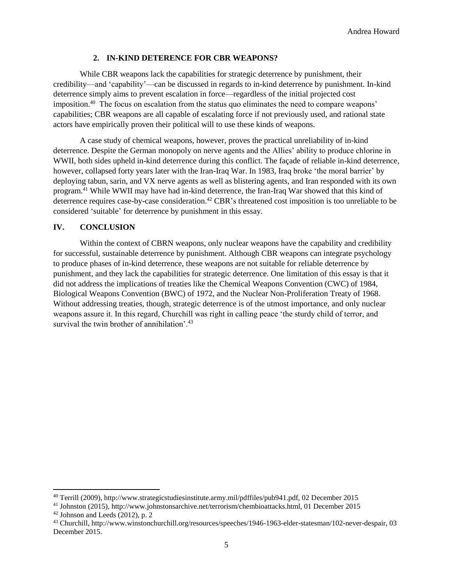#### **2. IN-KIND DETERENCE FOR CBR WEAPONS?**

While CBR weapons lack the capabilities for strategic deterrence by punishment, their credibility—and 'capability'—can be discussed in regards to in-kind deterrence by punishment. In-kind deterrence simply aims to prevent escalation in force—regardless of the initial projected cost imposition.<sup>40</sup> The focus on escalation from the status quo eliminates the need to compare weapons' capabilities; CBR weapons are all capable of escalating force if not previously used, and rational state actors have empirically proven their political will to use these kinds of weapons.

A case study of chemical weapons, however, proves the practical unreliability of in-kind deterrence. Despite the German monopoly on nerve agents and the Allies' ability to produce chlorine in WWII, both sides upheld in-kind deterrence during this conflict. The facade of reliable in-kind deterrence, however, collapsed forty years later with the Iran-Iraq War. In 1983, Iraq broke 'the moral barrier' by deploying tabun, sarin, and VX nerve agents as well as blistering agents, and Iran responded with its own program.<sup>41</sup> While WWII may have had in-kind deterrence, the Iran-Iraq War showed that this kind of deterrence requires case-by-case consideration.<sup>42</sup> CBR's threatened cost imposition is too unreliable to be considered 'suitable' for deterrence by punishment in this essay.

#### **IV. CONCLUSION**

Within the context of CBRN weapons, only nuclear weapons have the capability and credibility for successful, sustainable deterrence by punishment. Although CBR weapons can integrate psychology to produce phases of in-kind deterrence, these weapons are not suitable for reliable deterrence by punishment, and they lack the capabilities for strategic deterrence. One limitation of this essay is that it did not address the implications of treaties like the Chemical Weapons Convention (CWC) of 1984, Biological Weapons Convention (BWC) of 1972, and the Nuclear Non-Proliferation Treaty of 1968. Without addressing treaties, though, strategic deterrence is of the utmost importance, and only nuclear weapons assure it. In this regard, Churchill was right in calling peace 'the sturdy child of terror, and survival the twin brother of annihilation'. $43$ 

 $\overline{\phantom{a}}$ 

<sup>40</sup> Terrill (2009), http://www.strategicstudiesinstitute.army.mil/pdffiles/pub941.pdf, 02 December 2015

<sup>41</sup> Johnston (2015), http://www.johnstonsarchive.net/terrorism/chembioattacks.html, 01 December 2015

 $42$  Johnson and Leeds (2012), p. 2

<sup>43</sup> Churchill, http://www.winstonchurchill.org/resources/speeches/1946-1963-elder-statesman/102-never-despair, 03 December 2015.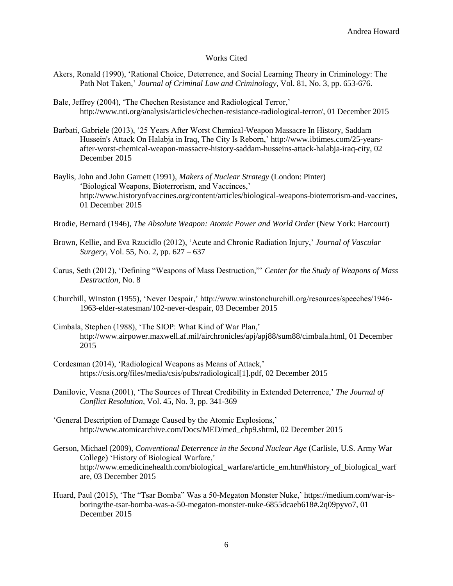#### Works Cited

- Akers, Ronald (1990), 'Rational Choice, Deterrence, and Social Learning Theory in Criminology: The Path Not Taken,' *Journal of Criminal Law and Criminology*, Vol. 81, No. 3, pp. 653-676.
- Bale, Jeffrey (2004), 'The Chechen Resistance and Radiological Terror,' http://www.nti.org/analysis/articles/chechen-resistance-radiological-terror/, 01 December 2015
- Barbati, Gabriele (2013), '25 Years After Worst Chemical-Weapon Massacre In History, Saddam Hussein's Attack On Halabja in Iraq, The City Is Reborn,' http://www.ibtimes.com/25-yearsafter-worst-chemical-weapon-massacre-history-saddam-husseins-attack-halabja-iraq-city, 02 December 2015
- Baylis, John and John Garnett (1991), *Makers of Nuclear Strategy* (London: Pinter) 'Biological Weapons, Bioterrorism, and Vaccinces,' http://www.historyofvaccines.org/content/articles/biological-weapons-bioterrorism-and-vaccines, 01 December 2015
- Brodie, Bernard (1946), *The Absolute Weapon: Atomic Power and World Order* (New York: Harcourt)
- Brown, Kellie, and Eva Rzucidlo (2012), 'Acute and Chronic Radiation Injury,' *Journal of Vascular Surgery*, Vol. 55, No. 2, pp. 627 – 637
- Carus, Seth (2012), 'Defining "Weapons of Mass Destruction,"' *Center for the Study of Weapons of Mass Destruction*, No. 8
- Churchill, Winston (1955), 'Never Despair,' http://www.winstonchurchill.org/resources/speeches/1946- 1963-elder-statesman/102-never-despair, 03 December 2015
- Cimbala, Stephen (1988), 'The SIOP: What Kind of War Plan,' http://www.airpower.maxwell.af.mil/airchronicles/apj/apj88/sum88/cimbala.html, 01 December 2015
- Cordesman (2014), 'Radiological Weapons as Means of Attack,' https://csis.org/files/media/csis/pubs/radiological[1].pdf, 02 December 2015
- Danilovic, Vesna (2001), 'The Sources of Threat Credibility in Extended Deterrence,' *The Journal of Conflict Resolution*, Vol. 45, No. 3, pp. 341-369
- 'General Description of Damage Caused by the Atomic Explosions,' http://www.atomicarchive.com/Docs/MED/med\_chp9.shtml, 02 December 2015
- Gerson, Michael (2009), *Conventional Deterrence in the Second Nuclear Age* (Carlisle, U.S. Army War College) 'History of Biological Warfare,' http://www.emedicinehealth.com/biological\_warfare/article\_em.htm#history\_of\_biological\_warf are, 03 December 2015
- Huard, Paul (2015), 'The "Tsar Bomba" Was a 50-Megaton Monster Nuke,' https://medium.com/war-isboring/the-tsar-bomba-was-a-50-megaton-monster-nuke-6855dcaeb618#.2q09pyvo7, 01 December 2015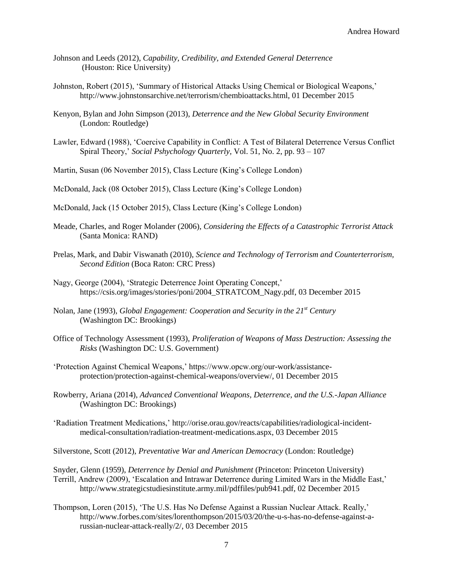- Johnson and Leeds (2012), *Capability, Credibility, and Extended General Deterrence* (Houston: Rice University)
- Johnston, Robert (2015), 'Summary of Historical Attacks Using Chemical or Biological Weapons,' http://www.johnstonsarchive.net/terrorism/chembioattacks.html, 01 December 2015
- Kenyon, Bylan and John Simpson (2013), *Deterrence and the New Global Security Environment* (London: Routledge)
- Lawler, Edward (1988), 'Coercive Capability in Conflict: A Test of Bilateral Deterrence Versus Conflict Spiral Theory,' *Social Pshychology Quarterly,* Vol. 51, No. 2, pp. 93 – 107
- Martin, Susan (06 November 2015), Class Lecture (King's College London)
- McDonald, Jack (08 October 2015), Class Lecture (King's College London)
- McDonald, Jack (15 October 2015), Class Lecture (King's College London)
- Meade, Charles, and Roger Molander (2006), *Considering the Effects of a Catastrophic Terrorist Attack* (Santa Monica: RAND)
- Prelas, Mark, and Dabir Viswanath (2010), *Science and Technology of Terrorism and Counterterrorism, Second Edition* (Boca Raton: CRC Press)
- Nagy, George (2004), 'Strategic Deterrence Joint Operating Concept,' https://csis.org/images/stories/poni/2004\_STRATCOM\_Nagy.pdf, 03 December 2015
- Nolan, Jane (1993), *Global Engagement: Cooperation and Security in the 21st Century*  (Washington DC: Brookings)
- Office of Technology Assessment (1993), *Proliferation of Weapons of Mass Destruction: Assessing the Risks* (Washington DC: U.S. Government)
- 'Protection Against Chemical Weapons,' https://www.opcw.org/our-work/assistanceprotection/protection-against-chemical-weapons/overview/, 01 December 2015
- Rowberry, Ariana (2014), *Advanced Conventional Weapons, Deterrence, and the U.S.-Japan Alliance*  (Washington DC: Brookings)
- 'Radiation Treatment Medications,' http://orise.orau.gov/reacts/capabilities/radiological-incidentmedical-consultation/radiation-treatment-medications.aspx, 03 December 2015
- Silverstone, Scott (2012), *Preventative War and American Democracy* (London: Routledge)

Snyder, Glenn (1959), *Deterrence by Denial and Punishment* (Princeton: Princeton University) Terrill, Andrew (2009), 'Escalation and Intrawar Deterrence during Limited Wars in the Middle East,' http://www.strategicstudiesinstitute.army.mil/pdffiles/pub941.pdf, 02 December 2015

Thompson, Loren (2015), 'The U.S. Has No Defense Against a Russian Nuclear Attack. Really,' http://www.forbes.com/sites/lorenthompson/2015/03/20/the-u-s-has-no-defense-against-arussian-nuclear-attack-really/2/, 03 December 2015